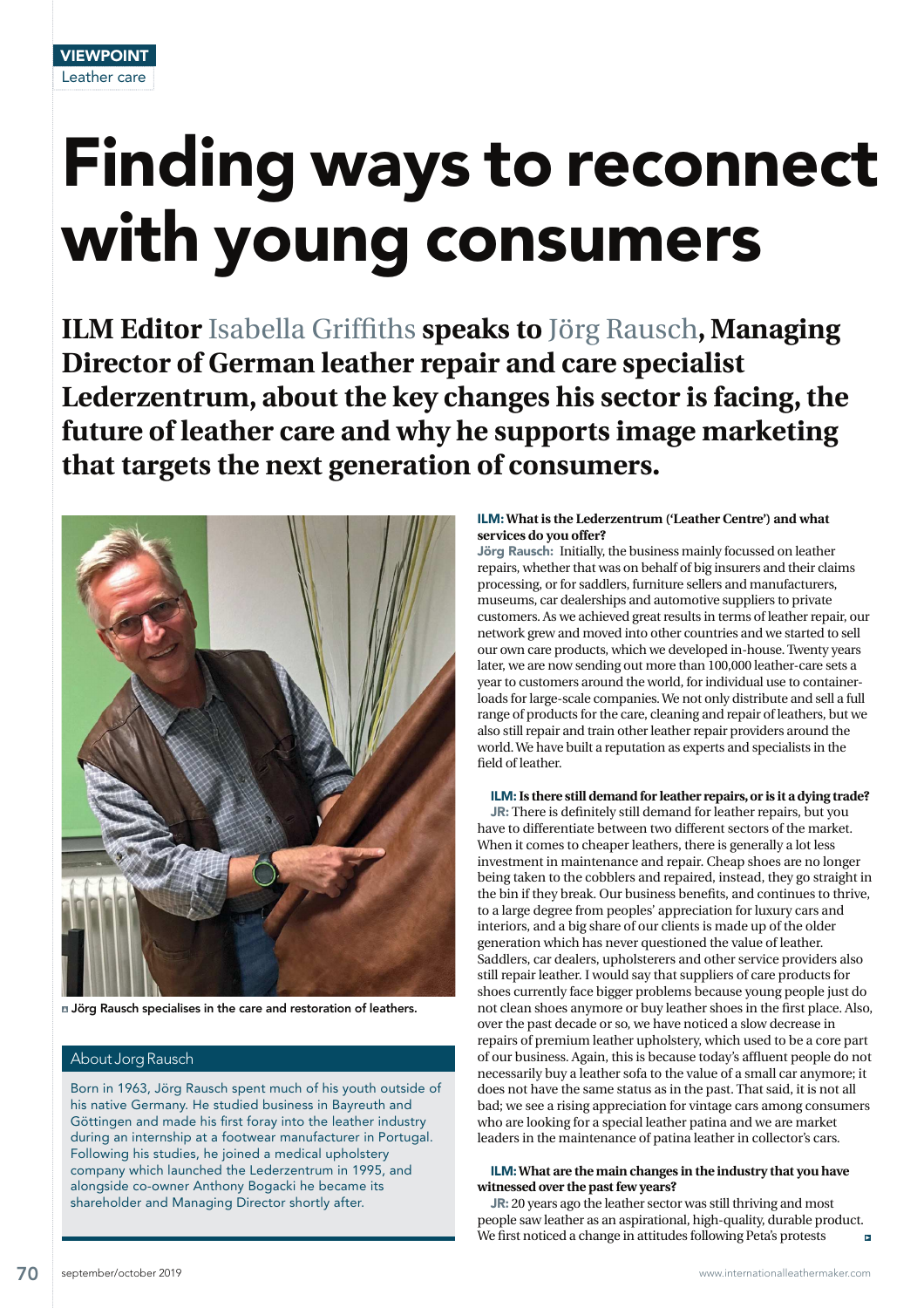# Finding ways to reconnect with young consumers

**ILM Editor** Isabella Griffiths **speaks to** Jörg Rausch**, Managing Director of German leather repair and care specialist Lederzentrum, about the key changes his sector is facing, the future of leather care and why he supports image marketing that targets the next generation of consumers.** 



Jörg Rausch specialises in the care and restoration of leathers.

# About Jorg Rausch

Born in 1963, Jörg Rausch spent much of his youth outside of his native Germany. He studied business in Bayreuth and Göttingen and made his first foray into the leather industry during an internship at a footwear manufacturer in Portugal. Following his studies, he joined a medical upholstery company which launched the Lederzentrum in 1995, and alongside co-owner Anthony Bogacki he became its shareholder and Managing Director shortly after.

# ILM: **What is the Lederzentrum ('Leather Centre') and what services do you offer?**

Jörg Rausch: Initially, the business mainly focussed on leather repairs, whether that was on behalf of big insurers and their claims processing, or for saddlers, furniture sellers and manufacturers, museums, car dealerships and automotive suppliers to private customers. As we achieved great results in terms of leather repair, our network grew and moved into other countries and we started to sell our own care products, which we developed in-house. Twenty years later, we are now sending out more than 100,000 leather-care sets a year to customers around the world, for individual use to containerloads for large-scale companies. We not only distribute and sell a full range of products for the care, cleaning and repair of leathers, but we also still repair and train other leather repair providers around the world. We have built a reputation as experts and specialists in the field of leather.

ILM: **Is there still demand for leather repairs, or is it a dying trade?** 

JR: There is definitely still demand for leather repairs, but you have to differentiate between two different sectors of the market. When it comes to cheaper leathers, there is generally a lot less investment in maintenance and repair. Cheap shoes are no longer being taken to the cobblers and repaired, instead, they go straight in the bin if they break. Our business benefits, and continues to thrive, to a large degree from peoples' appreciation for luxury cars and interiors, and a big share of our clients is made up of the older generation which has never questioned the value of leather. Saddlers, car dealers, upholsterers and other service providers also still repair leather. I would say that suppliers of care products for shoes currently face bigger problems because young people just do not clean shoes anymore or buy leather shoes in the first place. Also, over the past decade or so, we have noticed a slow decrease in repairs of premium leather upholstery, which used to be a core part of our business. Again, this is because today's affluent people do not necessarily buy a leather sofa to the value of a small car anymore; it does not have the same status as in the past. That said, it is not all bad; we see a rising appreciation for vintage cars among consumers who are looking for a special leather patina and we are market leaders in the maintenance of patina leather in collector's cars.

### ILM: **What are the main changes in the industry that you have witnessed over the past few years?**

JR: 20 years ago the leather sector was still thriving and most people saw leather as an aspirational, high-quality, durable product. We first noticed a change in attitudes following Peta's protests